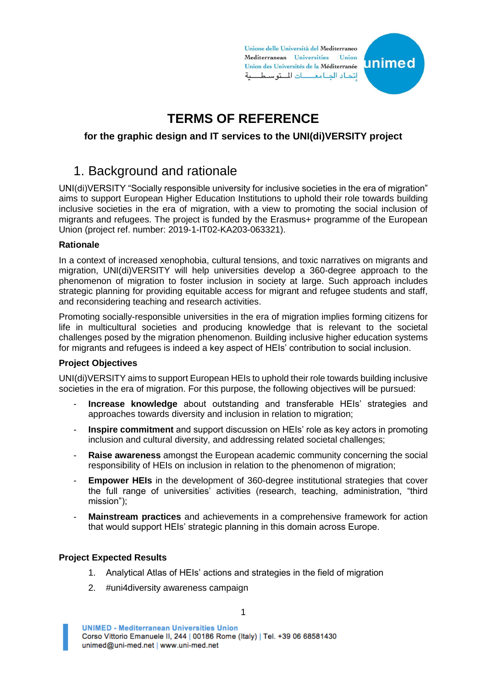Unione delle Università del Mediterraneo Mediterranean Universities Union Union des Universités de la Méditerranée اتحاد الحامعات للتوسطية

unimed



### **for the graphic design and IT services to the UNI(di)VERSITY project**

### 1. Background and rationale

UNI(di)VERSITY "Socially responsible university for inclusive societies in the era of migration" aims to support European Higher Education Institutions to uphold their role towards building inclusive societies in the era of migration, with a view to promoting the social inclusion of migrants and refugees. The project is funded by the Erasmus+ programme of the European Union (project ref. number: 2019-1-IT02-KA203-063321).

### **Rationale**

In a context of increased xenophobia, cultural tensions, and toxic narratives on migrants and migration, UNI(di)VERSITY will help universities develop a 360-degree approach to the phenomenon of migration to foster inclusion in society at large. Such approach includes strategic planning for providing equitable access for migrant and refugee students and staff, and reconsidering teaching and research activities.

Promoting socially-responsible universities in the era of migration implies forming citizens for life in multicultural societies and producing knowledge that is relevant to the societal challenges posed by the migration phenomenon. Building inclusive higher education systems for migrants and refugees is indeed a key aspect of HEIs' contribution to social inclusion.

### **Project Objectives**

UNI(di)VERSITY aims to support European HEIs to uphold their role towards building inclusive societies in the era of migration. For this purpose, the following objectives will be pursued:

- **Increase knowledge** about outstanding and transferable HEIs' strategies and approaches towards diversity and inclusion in relation to migration;
- **Inspire commitment** and support discussion on HEIs' role as key actors in promoting inclusion and cultural diversity, and addressing related societal challenges;
- **Raise awareness** amongst the European academic community concerning the social responsibility of HEIs on inclusion in relation to the phenomenon of migration;
- **Empower HEIs** in the development of 360-degree institutional strategies that cover the full range of universities' activities (research, teaching, administration, "third mission");
- **Mainstream practices** and achievements in a comprehensive framework for action that would support HEIs' strategic planning in this domain across Europe.

### **Project Expected Results**

- 1. Analytical Atlas of HEIs' actions and strategies in the field of migration
- 2. #uni4diversity awareness campaign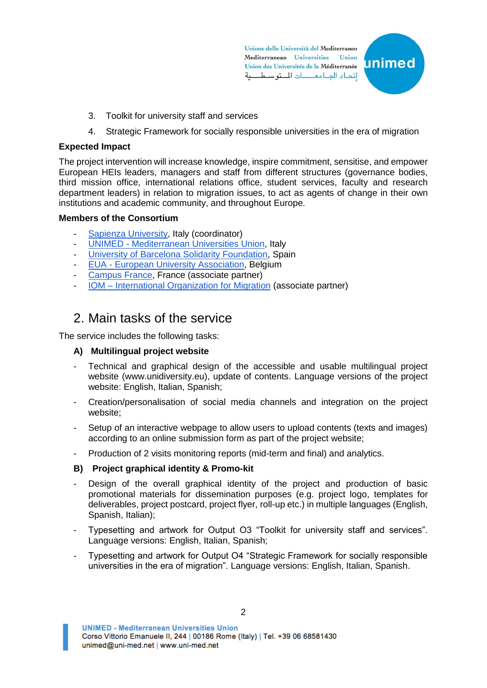Unione delle Università del Mediterraneo Mediterranean Universities Union Union des Universités de la Méditerranée اتحاد الدامعات للتوسطية



- 3. Toolkit for university staff and services
- 4. Strategic Framework for socially responsible universities in the era of migration

### **Expected Impact**

The project intervention will increase knowledge, inspire commitment, sensitise, and empower European HEIs leaders, managers and staff from different structures (governance bodies, third mission office, international relations office, student services, faculty and research department leaders) in relation to migration issues, to act as agents of change in their own institutions and academic community, and throughout Europe.

### **Members of the Consortium**

- [Sapienza University,](http://www.uniroma1.it/) Italy (coordinator)
- UNIMED [Mediterranean Universities Union,](http://www.uni-med.net/) Italy
- [University of Barcelona Solidarity Foundation,](http://www.ub.edu/comint/solidaritat/en/index.html) Spain
- EUA [European University Association,](http://www.eua.be/) Belgium
- [Campus France,](http://www.campusfrance.org/) France (associate partner)
- IOM [International Organization for Migration](https://www.iom.int/) (associate partner)

## 2. Main tasks of the service

The service includes the following tasks:

### **A) Multilingual project website**

- Technical and graphical design of the accessible and usable multilingual project website (www.unidiversity.eu), update of contents. Language versions of the project website: English, Italian, Spanish;
- Creation/personalisation of social media channels and integration on the project website;
- Setup of an interactive webpage to allow users to upload contents (texts and images) according to an online submission form as part of the project website;
- Production of 2 visits monitoring reports (mid-term and final) and analytics.

### **B) Project graphical identity & Promo-kit**

- Design of the overall graphical identity of the project and production of basic promotional materials for dissemination purposes (e.g. project logo, templates for deliverables, project postcard, project flyer, roll-up etc.) in multiple languages (English, Spanish, Italian);
- Typesetting and artwork for Output O3 "Toolkit for university staff and services". Language versions: English, Italian, Spanish;
- Typesetting and artwork for Output O4 "Strategic Framework for socially responsible universities in the era of migration". Language versions: English, Italian, Spanish.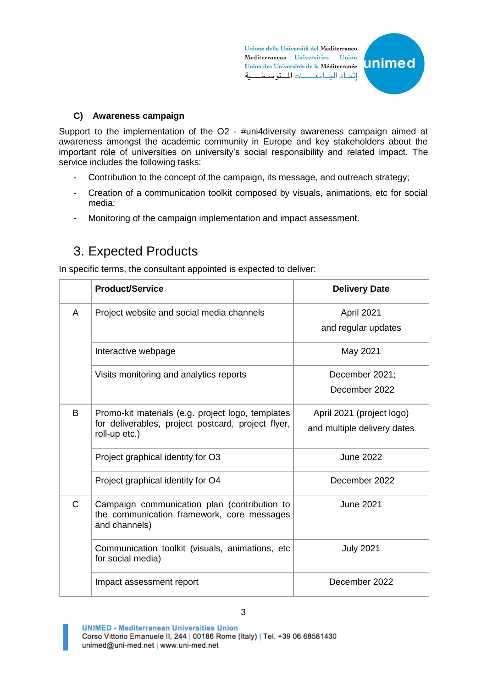Unione delle Università del Mediterraneo Mediterranean Universities Union Union des Universités de la Méditerranée اتحاد الدامع التوسطية



#### **C) Awareness campaign**

Support to the implementation of the O2 - #uni4diversity awareness campaign aimed at awareness amongst the academic community in Europe and key stakeholders about the important role of universities on university's social responsibility and related impact. The service includes the following tasks:

- Contribution to the concept of the campaign, its message, and outreach strategy;
- Creation of a communication toolkit composed by visuals, animations, etc for social media;
- Monitoring of the campaign implementation and impact assessment.

## 3. Expected Products

In specific terms, the consultant appointed is expected to deliver:

|               | <b>Product/Service</b>                                                                                                   | <b>Delivery Date</b>                                     |
|---------------|--------------------------------------------------------------------------------------------------------------------------|----------------------------------------------------------|
| A             | Project website and social media channels                                                                                | April 2021<br>and regular updates                        |
|               | Interactive webpage                                                                                                      | May 2021                                                 |
|               | Visits monitoring and analytics reports                                                                                  | December 2021;<br>December 2022                          |
| B             | Promo-kit materials (e.g. project logo, templates<br>for deliverables, project postcard, project flyer,<br>roll-up etc.) | April 2021 (project logo)<br>and multiple delivery dates |
|               | Project graphical identity for O3                                                                                        | <b>June 2022</b>                                         |
|               | Project graphical identity for O4                                                                                        | December 2022                                            |
| $\mathcal{C}$ | Campaign communication plan (contribution to<br>the communication framework, core messages<br>and channels)              | <b>June 2021</b>                                         |
|               | Communication toolkit (visuals, animations, etc<br>for social media)                                                     | <b>July 2021</b>                                         |
|               | Impact assessment report                                                                                                 | December 2022                                            |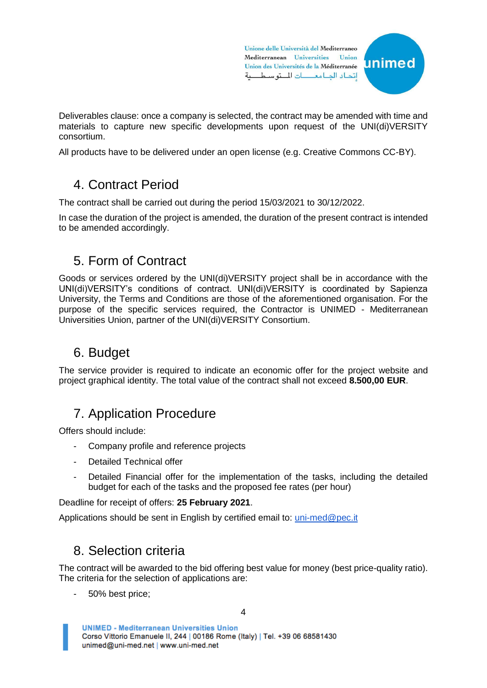Unione delle Università del Mediterraneo Mediterranean Universities Union Union des Universités de la Méditerranée اتحاد الدامع التوسطية



Deliverables clause: once a company is selected, the contract may be amended with time and materials to capture new specific developments upon request of the UNI(di)VERSITY consortium.

All products have to be delivered under an open license (e.g. Creative Commons CC-BY).

## 4. Contract Period

The contract shall be carried out during the period 15/03/2021 to 30/12/2022.

In case the duration of the project is amended, the duration of the present contract is intended to be amended accordingly.

## 5. Form of Contract

Goods or services ordered by the UNI(di)VERSITY project shall be in accordance with the UNI(di)VERSITY's conditions of contract. UNI(di)VERSITY is coordinated by Sapienza University, the Terms and Conditions are those of the aforementioned organisation. For the purpose of the specific services required, the Contractor is UNIMED - Mediterranean Universities Union, partner of the UNI(di)VERSITY Consortium.

# 6. Budget

The service provider is required to indicate an economic offer for the project website and project graphical identity. The total value of the contract shall not exceed **8.500,00 EUR**.

## 7. Application Procedure

Offers should include:

- Company profile and reference projects
- Detailed Technical offer
- Detailed Financial offer for the implementation of the tasks, including the detailed budget for each of the tasks and the proposed fee rates (per hour)

Deadline for receipt of offers: **25 February 2021**.

Applications should be sent in English by certified email to: [uni-med@pec.it](mailto:uni-med@pec.it)

## 8. Selection criteria

The contract will be awarded to the bid offering best value for money (best price-quality ratio). The criteria for the selection of applications are:

- 50% best price;